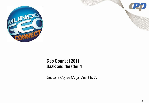

#### **Geo Connect 2011 SaaS and the Cloud**

Geovane Cayres Magalhães, Ph. D.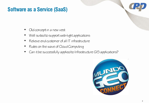## **Software as a Service (SaaS)**

- Old concept in a new vest
- Well suited to support web-light applications
- Relieve end customer of all IT infrastructure
- Rides on the wave of Cloud Computing
- Can it be successfully applied to Infrastructure GIS applications?

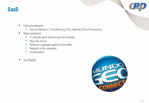#### **SaaS**

- Ups and downs
	- Service Bureaus, Time-Shanng, PCs, Internet, Cloud Computing
- New scenano
	- IT infrastructure becoming more complex
	- Security issues
	- Software upgrades applied more often
	- Network is the computer
	- Globalization
- Go SaaS!

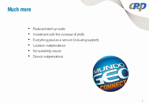## **Much more**

- Reduced start up costs
- Investment with the increase of profit
- Everything paid as a service (including support)
- Location independence
- No scalability issues
- Device independence

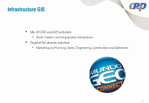## **Infrastructure GIS**

- Mix of CAD and GIS activities
	- Short, medium and long duration transactions
- Support for diverse activities
	- Marketing and Planning, Sales, Engineering, Construction and Operations

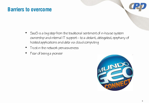# **Barriers to overcome**

- SaaS is a big step from the traditional sentiment of in-house system ownership and internal IT support – to a distant, delegated, epiphany of hosted applications and data via cloud computing
- Trust in the network pervasiveness
- Fear of being a pioneer

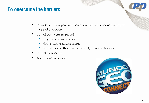#### **To overcome the barriers**

- Provide a working environments as close as possible to current mode of operation
- Do not compromise security
	- Only secure communication
	- No shortcuts to secure assets
	- Firewalls, closed hosted environment, domain authonzation
- SLA at high levels
- Acceptable bandwidth